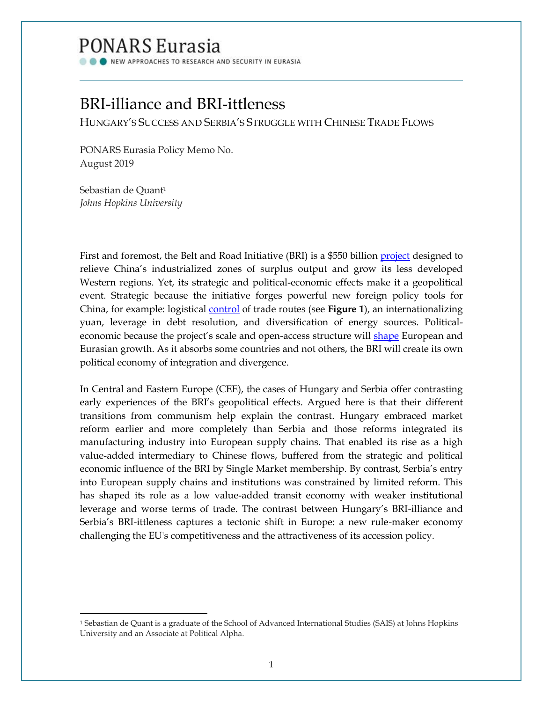# PONARS Eurasia

NEW APPROACHES TO RESEARCH AND SECURITY IN EURASIA

## BRI-illiance and BRI-ittleness

HUNGARY'S SUCCESS AND SERBIA'S STRUGGLE WITH CHINESE TRADE FLOWS

PONARS Eurasia Policy Memo No. August 2019

Sebastian de Quant<sup>1</sup> *Johns Hopkins University*

 $\overline{\phantom{a}}$ 

First and foremost, the Belt and Road Initiative (BRI) is a \$550 billion [project](https://bruegel.org/wp-content/uploads/2017/02/presentation.pdf) designed to relieve China's industrialized zones of surplus output and grow its less developed Western regions. Yet, its strategic and political-economic effects make it a geopolitical event. Strategic because the initiative forges powerful new foreign policy tools for China, for example: logistical [control](http://www.europarl.europa.eu/RegData/etudes/STUD/2018/585907/IPOL_STU(2018)585907_EN.pdf) of trade routes (see **Figure 1**), an internationalizing yuan, leverage in debt resolution, and diversification of energy sources. Politicaleconomic because the project's scale and open-access structure will [shape](http://bruegel.org/wp-content/uploads/2017/02/presentation.pdf) European and Eurasian growth. As it absorbs some countries and not others, the BRI will create its own political economy of integration and divergence.

In Central and Eastern Europe (CEE), the cases of Hungary and Serbia offer contrasting early experiences of the BRI's geopolitical effects. Argued here is that their different transitions from communism help explain the contrast. Hungary embraced market reform earlier and more completely than Serbia and those reforms integrated its manufacturing industry into European supply chains. That enabled its rise as a high value-added intermediary to Chinese flows, buffered from the strategic and political economic influence of the BRI by Single Market membership. By contrast, Serbia's entry into European supply chains and institutions was constrained by limited reform. This has shaped its role as a low value-added transit economy with weaker institutional leverage and worse terms of trade. The contrast between Hungary's BRI-illiance and Serbia's BRI-ittleness captures a tectonic shift in Europe: a new rule-maker economy challenging the EU's competitiveness and the attractiveness of its accession policy.

<sup>1</sup> Sebastian de Quant is a graduate of the School of Advanced International Studies (SAIS) at Johns Hopkins University and an Associate at Political Alpha.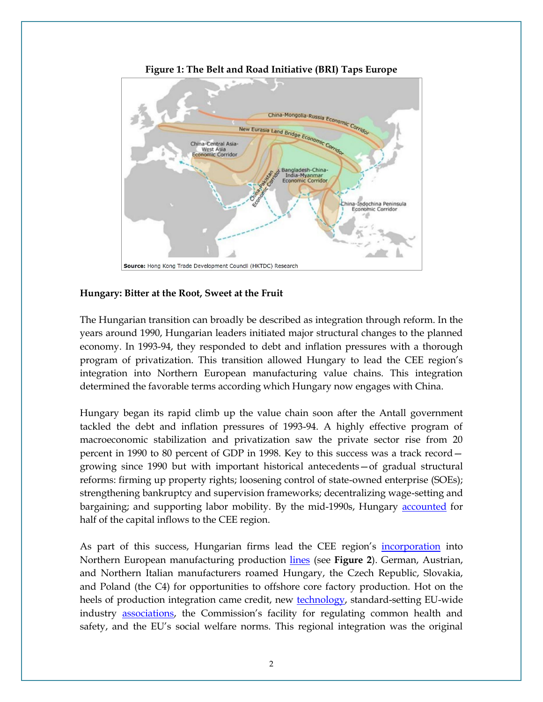

**Figure 1: The Belt and Road Initiative (BRI) Taps Europe**

#### **Hungary: Bitter at the Root, Sweet at the Fruit**

The Hungarian transition can broadly be described as integration through reform. In the years around 1990, Hungarian leaders initiated major structural changes to the planned economy. In 1993-94, they responded to debt and inflation pressures with a thorough program of privatization. This transition allowed Hungary to lead the CEE region's integration into Northern European manufacturing value chains. This integration determined the favorable terms according which Hungary now engages with China.

Hungary began its rapid climb up the value chain soon after the Antall government tackled the debt and inflation pressures of 1993-94. A highly effective program of macroeconomic stabilization and privatization saw the private sector rise from 20 percent in 1990 to 80 percent of GDP in 1998. Key to this success was a track record growing since 1990 but with important historical antecedents—of gradual structural reforms: firming up property rights; loosening control of state-owned enterprise (SOEs); strengthening bankruptcy and supervision frameworks; decentralizing wage-setting and bargaining; and supporting labor mobility. By the mid-1990s, Hungary [accounted](https://www.google.com/url?sa=t&rct=j&q=&esrc=s&source=web&cd=1&ved=2ahUKEwiUp-eni6XjAhVwpIsKHXtHDGYQFjAAegQIARAC&url=https%3A%2F%2Fwww.imf.org%2F~%2Fmedia%2FWebsites%2FIMF%2Fimported-flagship-issues%2Fexternal%2Fpubs%2Fft%2Freo%2F2014%2Feur%2Feng%2Fpdf%2Ferei_sr_102414.ashx&usg=AOvVaw1fZ0TRTHvbfzvmXSshB8Lb) for half of the capital inflows to the CEE region.

As part of this success, Hungarian firms lead the CEE region's [incorporation](https://www.ecb.europa.eu/pub/pdf/scpwps/ecbwp1628.pdf?95f214a365ba1f9358d817a7d47b8a2a) into Northern European manufacturing production lines (see **Figure 2**). German, Austrian, and Northern Italian manufacturers roamed Hungary, the Czech Republic, Slovakia, and Poland (the C4) for opportunities to offshore core factory production. Hot on the heels of production integration came credit, new [technology,](https://www.google.com/url?sa=t&rct=j&q=&esrc=s&source=web&cd=1&cad=rja&uact=8&ved=2ahUKEwiMtYX1i6XjAhWopIsKHVgPDHIQFjAAegQIBBAB&url=https%3A%2F%2Fwww.imf.org%2Fen%2FPublications%2FCR%2FIssues%2F2016%2F12%2F31%2FGerman-Central-European-Supply-Chain-Cluster-Report-Staff-Report-First-Background-Note-40881&usg=AOvVaw351QnvgnW-Fmt0cF4PBKco) standard-setting EU-wide industry [associations](http://cadmus.eui.eu/bitstream/handle/1814/7672/SPS-2007-13.PDF?sequence=1), the Commission's facility for regulating common health and safety, and the EU's social welfare norms. This regional integration was the original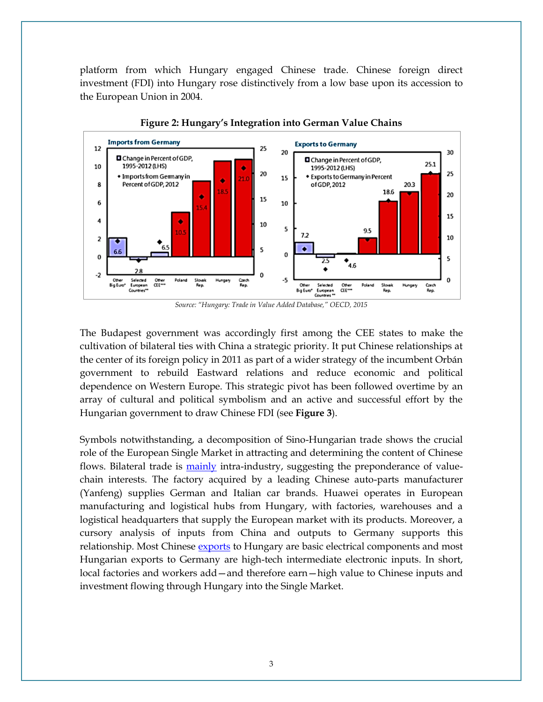platform from which Hungary engaged Chinese trade. Chinese foreign direct investment (FDI) into Hungary rose distinctively from a low base upon its accession to the European Union in 2004.



**Figure 2: Hungary's Integration into German Value Chains**

*Source: "Hungary: Trade in Value Added Database," OECD, 2015*

The Budapest government was accordingly first among the CEE states to make the cultivation of bilateral ties with China a strategic priority. It put Chinese relationships at the center of its foreign policy in 2011 as part of a wider strategy of the incumbent Orbán government to rebuild Eastward relations and reduce economic and political dependence on Western Europe. This strategic pivot has been followed overtime by an array of cultural and political symbolism and an active and successful effort by the Hungarian government to draw Chinese FDI (see **Figure 3**).

Symbols notwithstanding, a decomposition of Sino-Hungarian trade shows the crucial role of the European Single Market in attracting and determining the content of Chinese flows. Bilateral trade is [mainly](https://china-cee.eu/wp-content/uploads/2018/11/161-cooperation.pdf.) intra-industry, suggesting the preponderance of valuechain interests. The factory acquired by a leading Chinese auto-parts manufacturer (Yanfeng) supplies German and Italian car brands. Huawei operates in European manufacturing and logistical hubs from Hungary, with factories, warehouses and a logistical headquarters that supply the European market with its products. Moreover, a cursory analysis of inputs from China and outputs to Germany supports this relationship. Most Chinese [exports](http://www.chinfluence.eu/chinese-investment-hungary-results-great-expectations/) to Hungary are basic electrical components and most Hungarian exports to Germany are high-tech intermediate electronic inputs. In short, local factories and workers add—and therefore earn—high value to Chinese inputs and investment flowing through Hungary into the Single Market.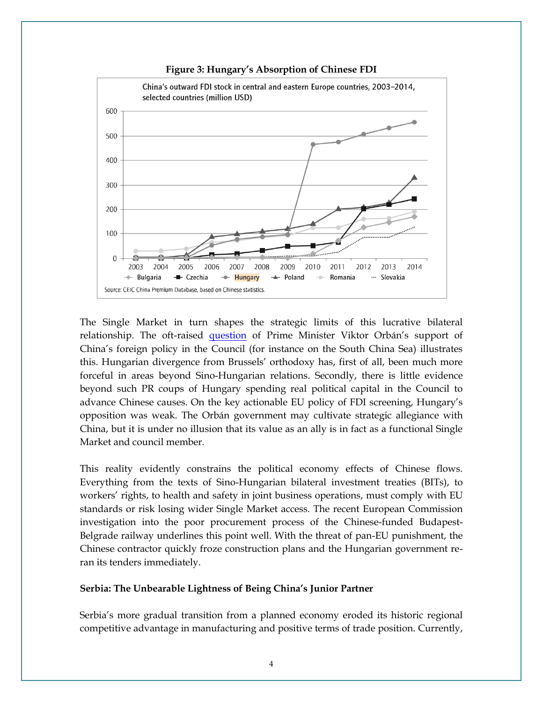

**Figure 3: Hungary's Absorption of Chinese FDI**

The Single Market in turn shapes the strategic limits of this lucrative bilateral relationship. The oft-raised [question](https://www.politico.eu/article/china-and-the-troika-portugal-foreign-investment-screening-takeovers-europe/) of Prime Minister Viktor Orbán's support of China's foreign policy in the Council (for instance on the South China Sea) illustrates this. Hungarian divergence from Brussels' orthodoxy has, first of all, been much more forceful in areas beyond Sino-Hungarian relations. Secondly, there is little evidence beyond such PR coups of Hungary spending real political capital in the Council to advance Chinese causes. On the key actionable EU policy of FDI screening, Hungary's opposition was weak. The Orbán government may cultivate strategic allegiance with China, but it is under no illusion that its value as an ally is in fact as a functional Single Market and council member.

This reality evidently constrains the political economy effects of Chinese flows. Everything from the texts of Sino-Hungarian bilateral investment treaties (BITs), to workers' rights, to health and safety in joint business operations, must comply with EU standards or risk losing wider Single Market access. The recent European Commission investigation into the poor procurement process of the Chinese-funded Budapest-Belgrade railway underlines this point well. With the threat of pan-EU punishment, the Chinese contractor quickly froze construction plans and the Hungarian government reran its tenders immediately.

#### **Serbia: The Unbearable Lightness of Being China's Junior Partner**

Serbia's more gradual transition from a planned economy eroded its historic regional competitive advantage in manufacturing and positive terms of trade position. Currently,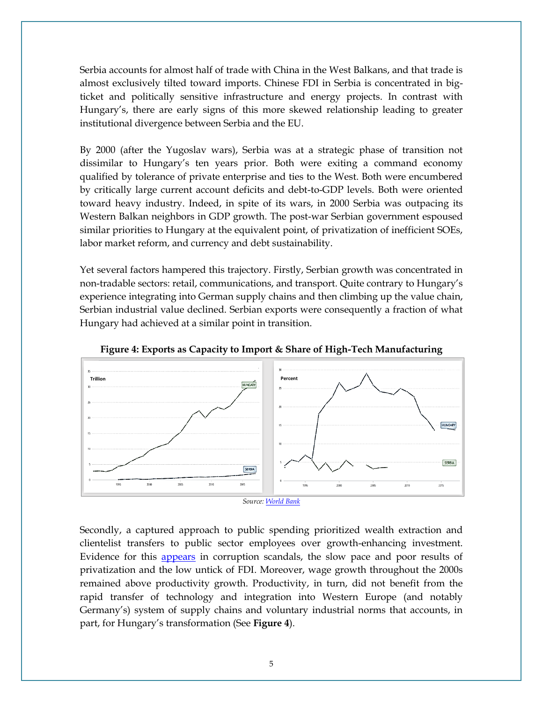Serbia accounts for almost half of trade with China in the West Balkans, and that trade is almost exclusively tilted toward imports. Chinese FDI in Serbia is concentrated in bigticket and politically sensitive infrastructure and energy projects. In contrast with Hungary's, there are early signs of this more skewed relationship leading to greater institutional divergence between Serbia and the EU.

By 2000 (after the Yugoslav wars), Serbia was at a strategic phase of transition not dissimilar to Hungary's ten years prior. Both were exiting a command economy qualified by tolerance of private enterprise and ties to the West. Both were encumbered by critically large current account deficits and debt-to-GDP levels. Both were oriented toward heavy industry. Indeed, in spite of its wars, in 2000 Serbia was outpacing its Western Balkan neighbors in GDP growth. The post-war Serbian government espoused similar priorities to Hungary at the equivalent point, of privatization of inefficient SOEs, labor market reform, and currency and debt sustainability.

Yet several factors hampered this trajectory. Firstly, Serbian growth was concentrated in non-tradable sectors: retail, communications, and transport. Quite contrary to Hungary's experience integrating into German supply chains and then climbing up the value chain, Serbian industrial value declined. Serbian exports were consequently a fraction of what Hungary had achieved at a similar point in transition.



**Figure 4: Exports as Capacity to Import & Share of High-Tech Manufacturing**

Secondly, a captured approach to public spending prioritized wealth extraction and clientelist transfers to public sector employees over growth-enhancing investment. Evidence for this [appears](https://www.ebrd.com/publications/transition-report-2013-english.pdf) in corruption scandals, the slow pace and poor results of privatization and the low untick of FDI. Moreover, wage growth throughout the 2000s remained above productivity growth. Productivity, in turn, did not benefit from the rapid transfer of technology and integration into Western Europe (and notably Germany's) system of supply chains and voluntary industrial norms that accounts, in part, for Hungary's transformation (See **Figure 4**).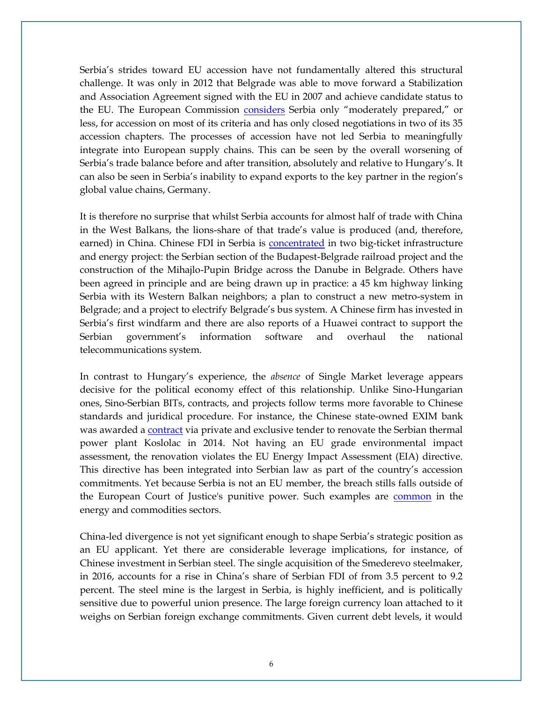Serbia's strides toward EU accession have not fundamentally altered this structural challenge. It was only in 2012 that Belgrade was able to move forward a Stabilization and Association Agreement signed with the EU in 2007 and achieve candidate status to the EU. The European Commission [considers](http://ec.europa.eu/dgs/economy_finance/evaluation/pdf/mfa_serbia_final_report.pdf) Serbia only "moderately prepared," or less, for accession on most of its criteria and has only closed negotiations in two of its 35 accession chapters. The processes of accession have not led Serbia to meaningfully integrate into European supply chains. This can be seen by the overall worsening of Serbia's trade balance before and after transition, absolutely and relative to Hungary's. It can also be seen in Serbia's inability to expand exports to the key partner in the region's global value chains, Germany.

It is therefore no surprise that whilst Serbia accounts for almost half of trade with China in the West Balkans, the lions-share of that trade's value is produced (and, therefore, earned) in China. Chinese FDI in Serbia is [concentrated](https://china-cee.eu/wp-content/uploads/2018/11/161-cooperation.pdf.) in two big-ticket infrastructure and energy project: the Serbian section of the Budapest-Belgrade railroad project and the construction of the Mihajlo-Pupin Bridge across the Danube in Belgrade. Others have been agreed in principle and are being drawn up in practice: a 45 km highway linking Serbia with its Western Balkan neighbors; a plan to construct a new metro-system in Belgrade; and a project to electrify Belgrade's bus system. A Chinese firm has invested in Serbia's first windfarm and there are also reports of a Huawei contract to support the Serbian government's information software and overhaul the national telecommunications system.

In contrast to Hungary's experience, the *absence* of Single Market leverage appears decisive for the political economy effect of this relationship. Unlike Sino-Hungarian ones, Sino-Serbian BITs, contracts, and projects follow terms more favorable to Chinese standards and juridical procedure. For instance, the Chinese state-owned EXIM bank was awarded a [contract](https://bankwatch.org/wp-content/uploads/2019/04/China-Balkans-briefing.pdf) via private and exclusive tender to renovate the Serbian thermal power plant Koslolac in 2014. Not having an EU grade environmental impact assessment, the renovation violates the EU Energy Impact Assessment (EIA) directive. This directive has been integrated into Serbian law as part of the country's accession commitments. Yet because Serbia is not an EU member, the breach stills falls outside of the European Court of Justice's punitive power. Such examples are **[common](https://china-cee.eu/wp-content/uploads/2018/11/161-cooperation.pdf.)** in the energy and commodities sectors.

China-led divergence is not yet significant enough to shape Serbia's strategic position as an EU applicant. Yet there are considerable leverage implications, for instance, of Chinese investment in Serbian steel. The single acquisition of the Smederevo steelmaker, in 2016, accounts for a rise in China's share of Serbian FDI of from 3.5 percent to 9.2 percent. The steel mine is the largest in Serbia, is highly inefficient, and is politically sensitive due to powerful union presence. The large foreign currency loan attached to it weighs on Serbian foreign exchange commitments. Given current debt levels, it would